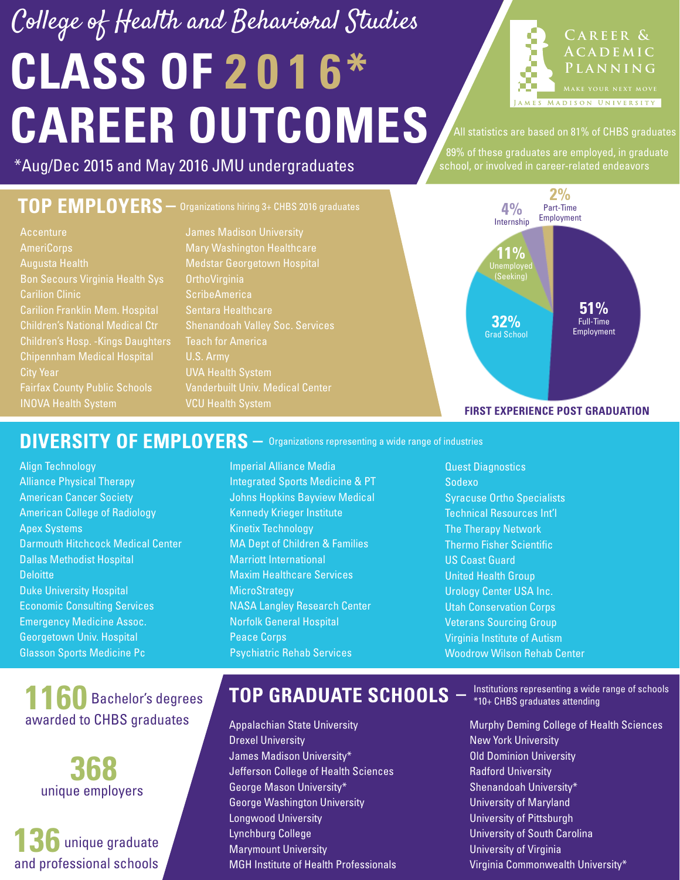## **CLASS OF 2 0 1 6\* CAREER OUTCOMES** College of Health and Behavioral Studies



All statistics are based on 81% of CHBS graduates

89% of these graduates are employed, in graduate

#### \*Aug/Dec 2015 and May 2016 JMU undergraduates states of school, or involved in career-related endeavors

#### **TOP EMPLOYERS –** Organizations hiring 3+ CHBS 2016 graduates

**Accenture** AmeriCorps Augusta Health Bon Secours Virginia Health Sys Carilion Clinic Carilion Franklin Mem. Hospital Children's National Medical Ctr Children's Hosp. -Kings Daughters Chipennham Medical Hospital City Year INOVA Health System

James Madison University Mary Washington Healthcare Medstar Georgetown Hospital **OrthoVirginia** ScribeAmerica Sentara Healthcare Shenandoah Valley Soc. Services U.S. Army UVA Health System Vanderbuilt Univ. Medical Center VCU Health System



#### DIVERSITY OF EMPLOYERS  $-$  Organizations representing a wide range of industries

- Align Technology Alliance Physical Therapy American Cancer Society American College of Radiology Apex Systems Darmouth Hitchcock Medical Center Dallas Methodist Hospital **Deloitte** Duke University Hospital Economic Consulting Services Emergency Medicine Assoc. Georgetown Univ. Hospital Glasson Sports Medicine Pc
- Imperial Alliance Media Integrated Sports Medicine & PT Johns Hopkins Bayview Medical Kennedy Krieger Institute Kinetix Technology MA Dept of Children & Families Marriott International Maxim Healthcare Services **MicroStrategy** NASA Langley Research Center Norfolk General Hospital Peace Corps Psychiatric Rehab Services
- Quest Diagnostics Sodexo Syracuse Ortho Specialists Technical Resources Int'l The Therapy Network Thermo Fisher Scientific US Coast Guard United Health Group Urology Center USA Inc. Utah Conservation Corps Veterans Sourcing Group Virginia Institute of Autism Woodrow Wilson Rehab Center

### **1160** Bachelor's degrees awarded to CHBS graduates



#### **136 150** unique graduate and professional schools

#### **TOP GRADUATE SCHOOLS**

- Appalachian State University Drexel University James Madison University\* Jefferson College of Health Sciences George Mason University\* George Washington University Longwood University Lynchburg College Marymount University MGH Institute of Health Professionals
- Institutions representing a wide range of schools **–** \*10+ CHBS graduates attending
- Murphy Deming College of Health Sciences New York University Old Dominion University Radford University Shenandoah University\* University of Maryland University of Pittsburgh University of South Carolina University of Virginia Virginia Commonwealth University\*